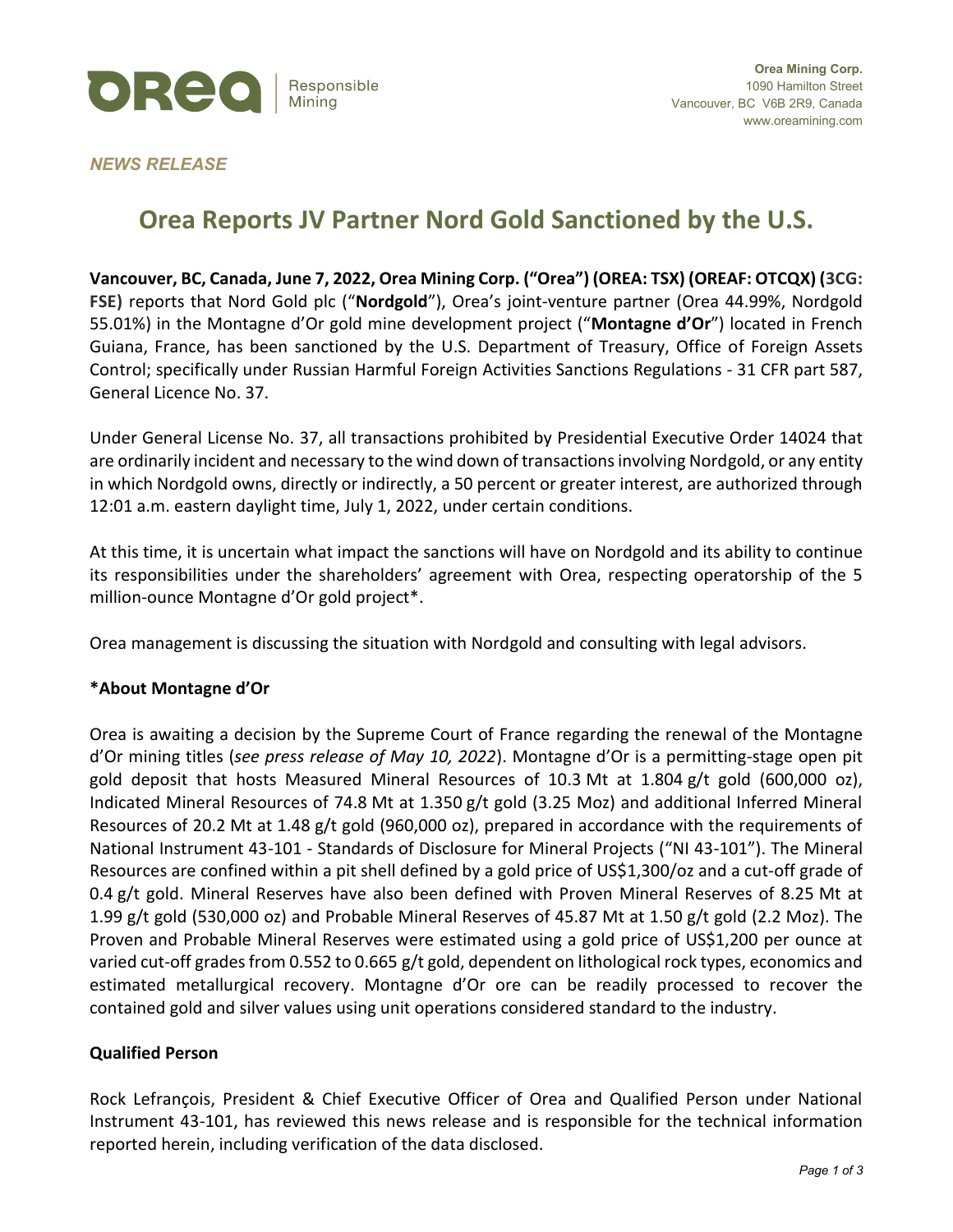

## *NEWS RELEASE*

# **Orea Reports JV Partner Nord Gold Sanctioned by the U.S.**

**Vancouver, BC, Canada, June 7, 2022, Orea Mining Corp. ("Orea") (OREA: TSX) (OREAF: OTCQX) (3CG: FSE)** reports that Nord Gold plc ("**Nordgold**"), Orea's joint-venture partner (Orea 44.99%, Nordgold 55.01%) in the Montagne d'Or gold mine development project ("**Montagne d'Or**") located in French Guiana, France, has been sanctioned by the U.S. Department of Treasury, Office of Foreign Assets Control; specifically under Russian Harmful Foreign Activities Sanctions Regulations - 31 CFR part 587, General Licence No. 37.

Under General License No. 37, all transactions prohibited by Presidential Executive Order 14024 that are ordinarily incident and necessary to the wind down of transactions involving Nordgold, or any entity in which Nordgold owns, directly or indirectly, a 50 percent or greater interest, are authorized through 12:01 a.m. eastern daylight time, July 1, 2022, under certain conditions.

At this time, it is uncertain what impact the sanctions will have on Nordgold and its ability to continue its responsibilities under the shareholders' agreement with Orea, respecting operatorship of the 5 million-ounce Montagne d'Or gold project\*.

Orea management is discussing the situation with Nordgold and consulting with legal advisors.

# **\*About Montagne d'Or**

Orea is awaiting a decision by the Supreme Court of France regarding the renewal of the Montagne d'Or mining titles (*see press release of May 10, 2022*). Montagne d'Or is a permitting-stage open pit gold deposit that hosts Measured Mineral Resources of 10.3 Mt at 1.804 g/t gold (600,000 oz), Indicated Mineral Resources of 74.8 Mt at 1.350 g/t gold (3.25 Moz) and additional Inferred Mineral Resources of 20.2 Mt at 1.48 g/t gold (960,000 oz), prepared in accordance with the requirements of National Instrument 43-101 - Standards of Disclosure for Mineral Projects ("NI 43-101"). The Mineral Resources are confined within a pit shell defined by a gold price of US\$1,300/oz and a cut-off grade of 0.4 g/t gold. Mineral Reserves have also been defined with Proven Mineral Reserves of 8.25 Mt at 1.99 g/t gold (530,000 oz) and Probable Mineral Reserves of 45.87 Mt at 1.50 g/t gold (2.2 Moz). The Proven and Probable Mineral Reserves were estimated using a gold price of US\$1,200 per ounce at varied cut-off grades from 0.552 to 0.665 g/t gold, dependent on lithological rock types, economics and estimated metallurgical recovery. Montagne d'Or ore can be readily processed to recover the contained gold and silver values using unit operations considered standard to the industry.

## **Qualified Person**

Rock Lefrançois, President & Chief Executive Officer of Orea and Qualified Person under National Instrument 43-101, has reviewed this news release and is responsible for the technical information reported herein, including verification of the data disclosed.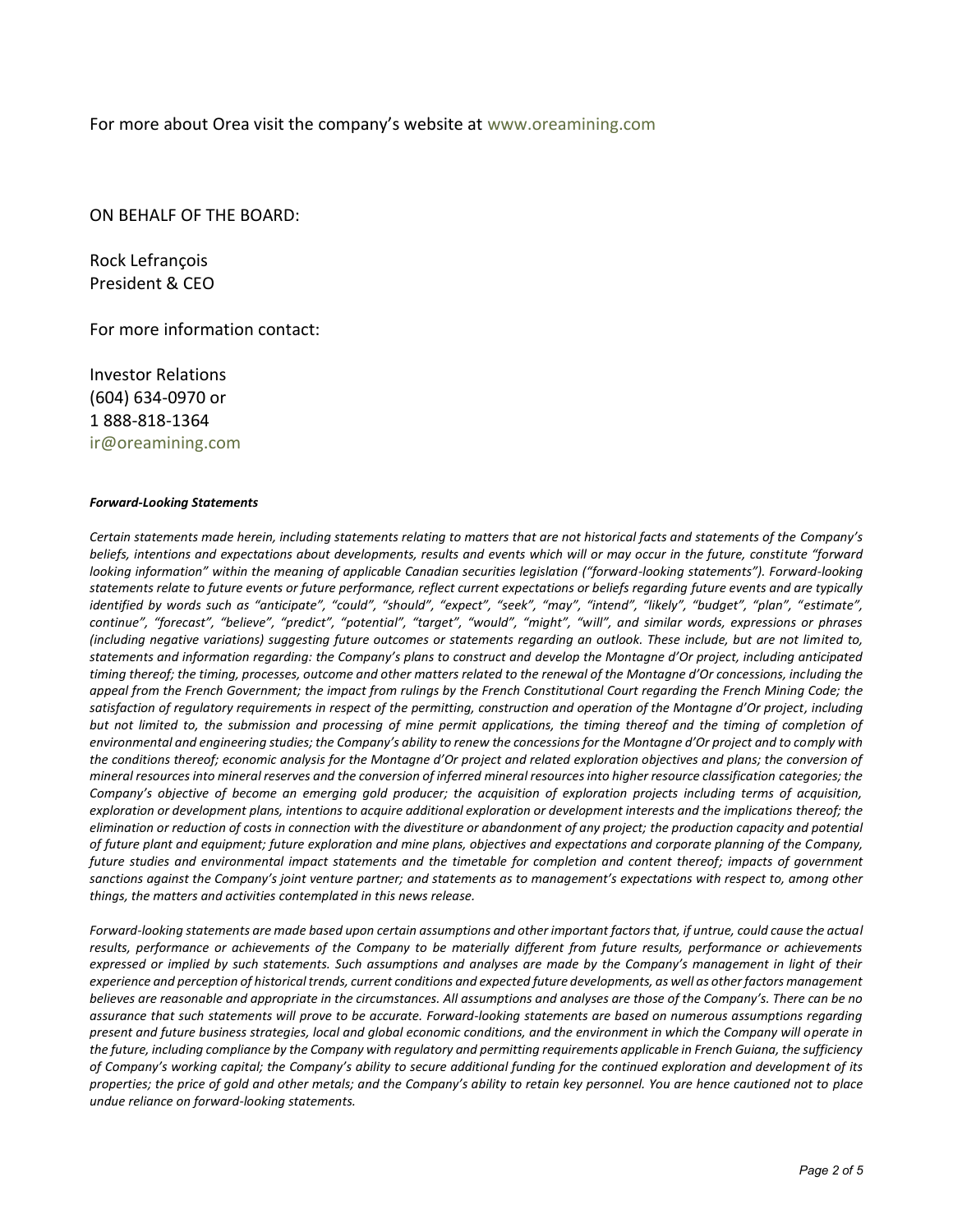For more about Orea visit the company's website at www.oreamining.com

ON BEHALF OF THE BOARD:

Rock Lefrançois President & CEO

For more information contact:

Investor Relations (604) 634-0970 or 1 888-818-1364 ir@oreamining.com

#### *Forward-Looking Statements*

*Certain statements made herein, including statements relating to matters that are not historical facts and statements of the Company's beliefs, intentions and expectations about developments, results and events which will or may occur in the future, constitute "forward looking information" within the meaning of applicable Canadian securities legislation ("forward-looking statements"). Forward-looking statements relate to future events or future performance, reflect current expectations or beliefs regarding future events and are typically identified by words such as "anticipate", "could", "should", "expect", "seek", "may", "intend", "likely", "budget", "plan", "estimate", continue", "forecast", "believe", "predict", "potential", "target", "would", "might", "will", and similar words, expressions or phrases (including negative variations) suggesting future outcomes or statements regarding an outlook. These include, but are not limited to, statements and information regarding: the Company's plans to construct and develop the Montagne d'Or project, including anticipated timing thereof; the timing, processes, outcome and other matters related to the renewal of the Montagne d'Or concessions, including the*  appeal from the French Government; the impact from rulings by the French Constitutional Court regarding the French Mining Code; the *satisfaction of regulatory requirements in respect of the permitting, construction and operation of the Montagne d'Or project, including but not limited to, the submission and processing of mine permit applications, the timing thereof and the timing of completion of environmental and engineering studies; the Company's ability to renew the concessions for the Montagne d'Or project and to comply with the conditions thereof; economic analysis for the Montagne d'Or project and related exploration objectives and plans; the conversion of mineral resources into mineral reserves and the conversion of inferred mineral resources into higher resource classification categories; the Company's objective of become an emerging gold producer; the acquisition of exploration projects including terms of acquisition, exploration or development plans, intentions to acquire additional exploration or development interests and the implications thereof; the elimination or reduction of costs in connection with the divestiture or abandonment of any project; the production capacity and potential of future plant and equipment; future exploration and mine plans, objectives and expectations and corporate planning of the Company, future studies and environmental impact statements and the timetable for completion and content thereof; impacts of government sanctions against the Company's joint venture partner; and statements as to management's expectations with respect to, among other things, the matters and activities contemplated in this news release.*

*Forward-looking statements are made based upon certain assumptions and other important factors that, if untrue, could cause the actual results, performance or achievements of the Company to be materially different from future results, performance or achievements expressed or implied by such statements. Such assumptions and analyses are made by the Company's management in light of their experience and perception of historical trends, current conditions and expected future developments, as well as other factors management believes are reasonable and appropriate in the circumstances. All assumptions and analyses are those of the Company's. There can be no assurance that such statements will prove to be accurate. Forward-looking statements are based on numerous assumptions regarding present and future business strategies, local and global economic conditions, and the environment in which the Company will operate in the future, including compliance by the Company with regulatory and permitting requirements applicable in French Guiana, the sufficiency of Company's working capital; the Company's ability to secure additional funding for the continued exploration and development of its properties; the price of gold and other metals; and the Company's ability to retain key personnel. You are hence cautioned not to place undue reliance on forward-looking statements.*